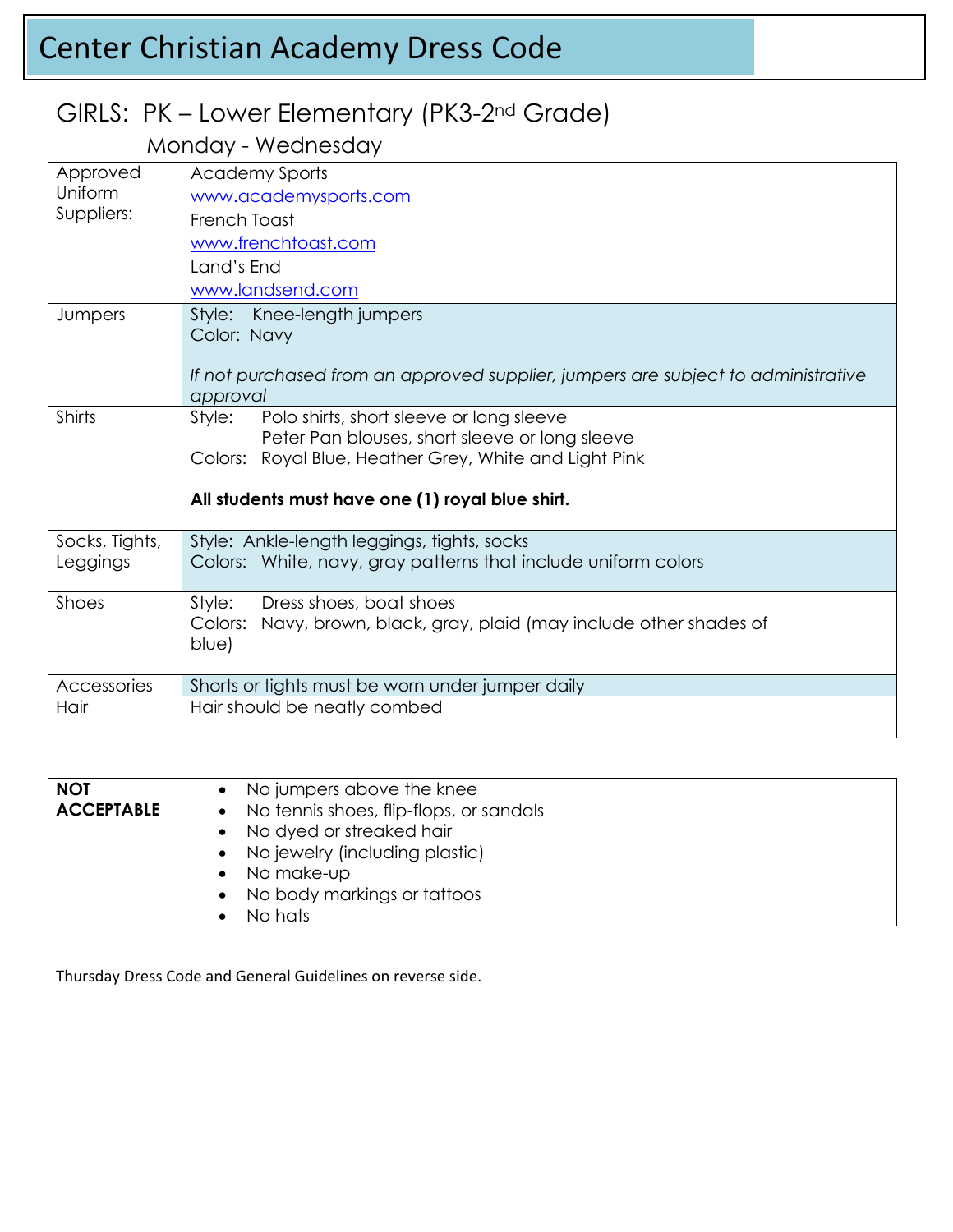# Center Christian Academy Dress Code

## GIRLS: PK – Lower Elementary (PK3-2nd Grade)

### Monday - Wednesday

| Approved<br>Uniform<br>Suppliers: | <b>Academy Sports</b>                                                                                        |
|-----------------------------------|--------------------------------------------------------------------------------------------------------------|
|                                   | www.academysports.com                                                                                        |
|                                   | French Toast                                                                                                 |
|                                   | www.frenchtoast.com                                                                                          |
|                                   | Land's End                                                                                                   |
|                                   | www.landsend.com                                                                                             |
| Jumpers                           | Style: Knee-length jumpers                                                                                   |
|                                   | Color: Navy                                                                                                  |
|                                   |                                                                                                              |
|                                   | If not purchased from an approved supplier, jumpers are subject to administrative<br>approval                |
| Shirts                            | Polo shirts, short sleeve or long sleeve<br>Style:                                                           |
|                                   | Peter Pan blouses, short sleeve or long sleeve                                                               |
|                                   | Colors: Royal Blue, Heather Grey, White and Light Pink                                                       |
|                                   |                                                                                                              |
|                                   | All students must have one (1) royal blue shirt.                                                             |
| Socks, Tights,                    | Style: Ankle-length leggings, tights, socks                                                                  |
| Leggings                          | Colors: White, navy, gray patterns that include uniform colors                                               |
|                                   |                                                                                                              |
| Shoes                             | Style:<br>Dress shoes, boat shoes<br>Navy, brown, black, gray, plaid (may include other shades of<br>Colors: |
|                                   | blue)                                                                                                        |
|                                   |                                                                                                              |
| Accessories                       | Shorts or tights must be worn under jumper daily                                                             |
| Hair                              | Hair should be neatly combed                                                                                 |
|                                   |                                                                                                              |

| <b>NOT</b>        | • No jumpers above the knee               |
|-------------------|-------------------------------------------|
| <b>ACCEPTABLE</b> | • No tennis shoes, flip-flops, or sandals |
|                   | • No dyed or streaked hair                |
|                   | • No jewelry (including plastic)          |
|                   | $\bullet$ No make-up                      |
|                   | • No body markings or tattoos             |
|                   | No hats                                   |

Thursday Dress Code and General Guidelines on reverse side.